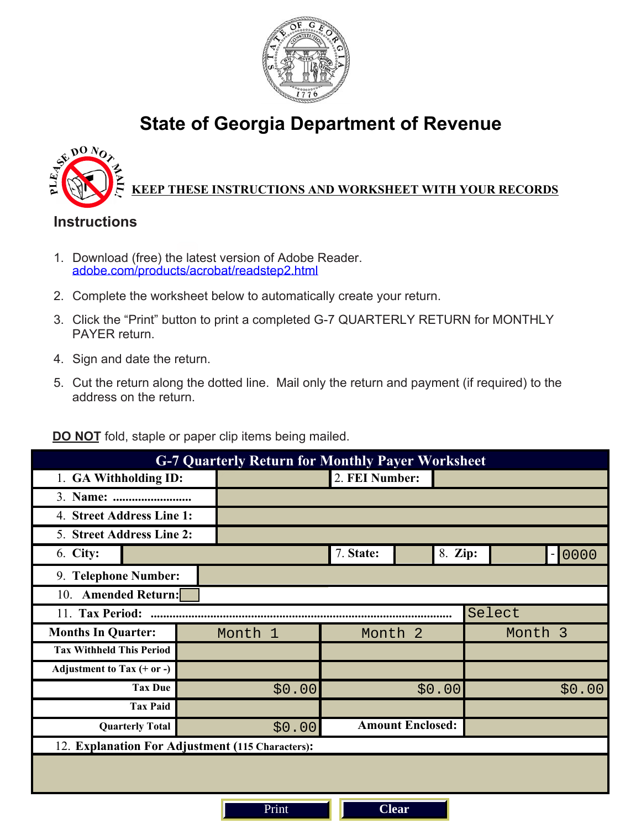

## **State of Georgia Department of Revenue**



## **KEEP THESE INSTRUCTIONS AND WORKSHEET WITH YOUR RECORDS**

## **Instructions**

- 1. Download (free) the latest version of Adobe Reader. [adobe.com/products/acrobat/readstep2.html](http://www.adobe.com/products/acrobat/readstep2.html)
- 2. Complete the worksheet below to automatically create your return.
- 3. Click the "Print" button to print a completed G-7 QUARTERLY RETURN for MONTHLY PAYER return.
- 4. Sign and date the return.
- 5. Cut the return along the dotted line. Mail only the return and payment (if required) to the address on the return.

**DO NOT** fold, staple or paper clip items being mailed.

| <b>G-7 Quarterly Return for Monthly Payer Worksheet</b> |         |                         |         |         |  |  |  |
|---------------------------------------------------------|---------|-------------------------|---------|---------|--|--|--|
| 1. GA Withholding ID:                                   |         | 2. FEI Number:          |         |         |  |  |  |
|                                                         |         |                         |         |         |  |  |  |
| 4. Street Address Line 1:                               |         |                         |         |         |  |  |  |
| 5. Street Address Line 2:                               |         |                         |         |         |  |  |  |
| 6. City:                                                |         | 7. State:               | 8. Zip: | 0000    |  |  |  |
| 9. Telephone Number:                                    |         |                         |         |         |  |  |  |
| 10. Amended Return:                                     |         |                         |         |         |  |  |  |
| 11. Tax Period:<br>Select                               |         |                         |         |         |  |  |  |
| <b>Months In Quarter:</b>                               | Month 1 | Month <sub>2</sub>      |         | Month 3 |  |  |  |
| <b>Tax Withheld This Period</b>                         |         |                         |         |         |  |  |  |
| Adjustment to Tax $(+ or -)$                            |         |                         |         |         |  |  |  |
| <b>Tax Due</b>                                          | \$0.00  | \$0.00                  |         | \$0.00  |  |  |  |
| <b>Tax Paid</b>                                         |         |                         |         |         |  |  |  |
| <b>Quarterly Total</b>                                  | \$0.00  | <b>Amount Enclosed:</b> |         |         |  |  |  |
| 12. Explanation For Adjustment (115 Characters):        |         |                         |         |         |  |  |  |
|                                                         |         |                         |         |         |  |  |  |
| <b>Clear</b><br>Print                                   |         |                         |         |         |  |  |  |